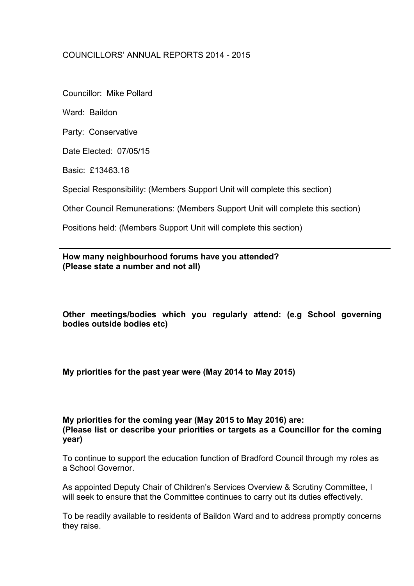## COUNCILLORS' ANNUAL REPORTS 2014 - 2015

Councillor: Mike Pollard

Ward: Baildon

Party: Conservative

Date Elected: 07/05/15

Basic: £13463.18

Special Responsibility: (Members Support Unit will complete this section)

Other Council Remunerations: (Members Support Unit will complete this section)

Positions held: (Members Support Unit will complete this section)

## **How many neighbourhood forums have you attended? (Please state a number and not all)**

**Other meetings/bodies which you regularly attend: (e.g School governing bodies outside bodies etc)**

**My priorities for the past year were (May 2014 to May 2015)**

## **My priorities for the coming year (May 2015 to May 2016) are: (Please list or describe your priorities or targets as a Councillor for the coming year)**

To continue to support the education function of Bradford Council through my roles as a School Governor.

As appointed Deputy Chair of Children's Services Overview & Scrutiny Committee, I will seek to ensure that the Committee continues to carry out its duties effectively.

To be readily available to residents of Baildon Ward and to address promptly concerns they raise.